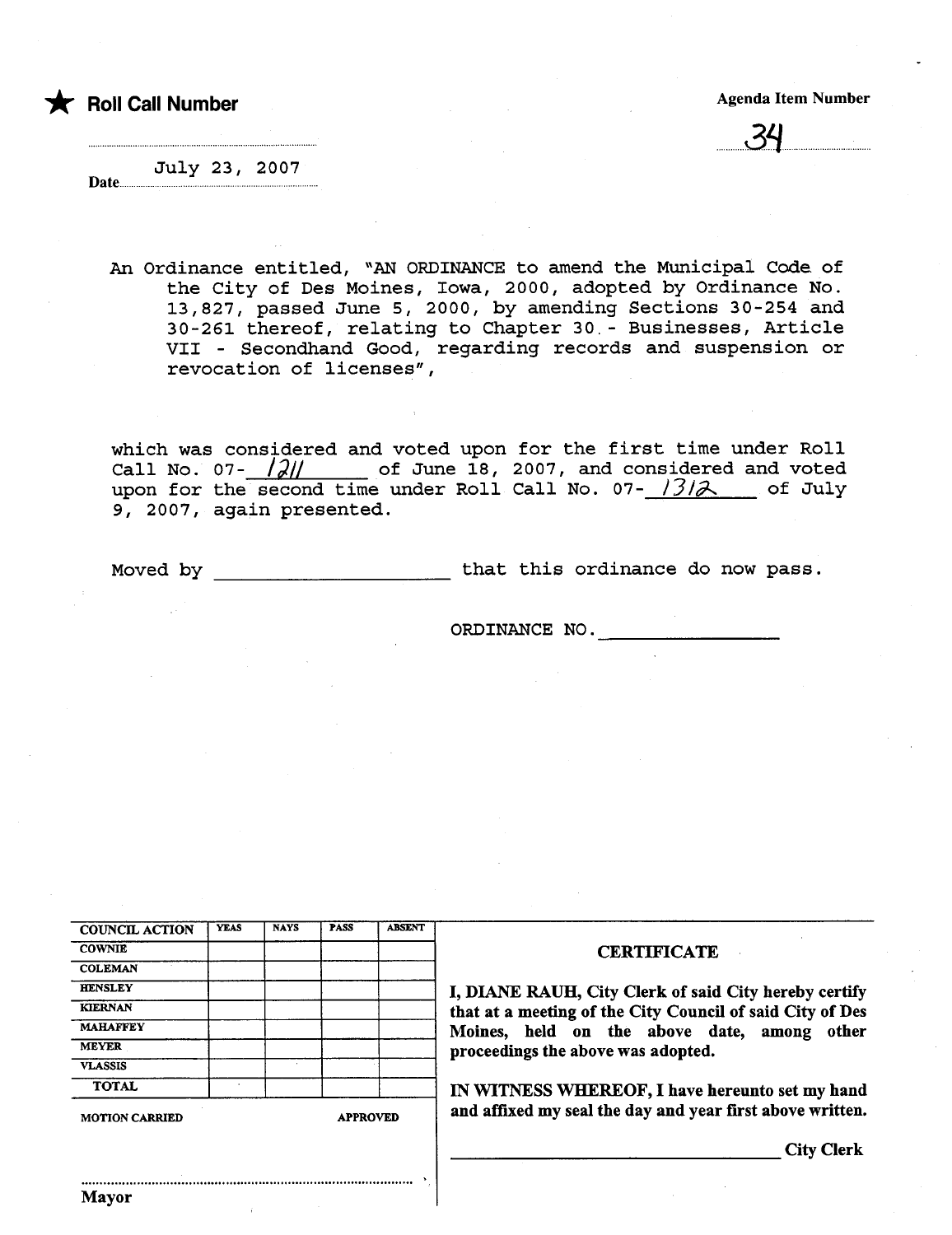\* Roll Call Number Agenda Item Number Agenda Item Number

<u>... ৩৭</u>

July 23, 2007 Date......

An Ordinance entitled, "AN ORDINANCE to amend the Municipal Code of the City of Des Moines, Iowa, 2000, adopted by Ordinance No. 13,827, passed June 5, 2000, by amending Sections 30-254 and 30-261 thereof, relating to Chapter 30. - Businesses, Article VII - Secondhand Good, regarding records and suspension or revocation of licenses",

which was considered and voted upon for the first time under Roll Call No. 07-  $\frac{\partial \mathcal{U}}{\partial x}$  of June 18, 2007, and considered and voted upon for the second time under Roll Call No.  $07 - \frac{1312}{3}$  of July 9, 2007, again presented.

Mayor

Moved by that this ordinance do now pass.

ORDINANCE NO.

| <b>COUNCIL ACTION</b>                    | <b>YEAS</b> | <b>NAYS</b> | <b>PASS</b> | <b>ABSENT</b> |                                                           |  |  |
|------------------------------------------|-------------|-------------|-------------|---------------|-----------------------------------------------------------|--|--|
| <b>COWNIE</b>                            |             |             |             |               | <b>CERTIFICATE</b>                                        |  |  |
| <b>COLEMAN</b>                           |             |             |             |               |                                                           |  |  |
| <b>HENSLEY</b>                           |             |             |             |               | I, DIANE RAUH, City Clerk of said City hereby certify     |  |  |
| <b>KIERNAN</b>                           |             |             |             |               | that at a meeting of the City Council of said City of Des |  |  |
| <b>MAHAFFEY</b>                          |             |             |             |               | Moines, held on the above date, among other               |  |  |
| <b>MEYER</b>                             |             |             |             |               | proceedings the above was adopted.                        |  |  |
| <b>VLASSIS</b>                           |             |             |             |               |                                                           |  |  |
| <b>TOTAL</b>                             |             |             |             |               | IN WITNESS WHEREOF, I have hereunto set my hand           |  |  |
| <b>APPROVED</b><br><b>MOTION CARRIED</b> |             |             |             |               | and affixed my seal the day and year first above written. |  |  |
|                                          |             |             |             |               | <b>City Clerk</b>                                         |  |  |
|                                          |             |             |             |               |                                                           |  |  |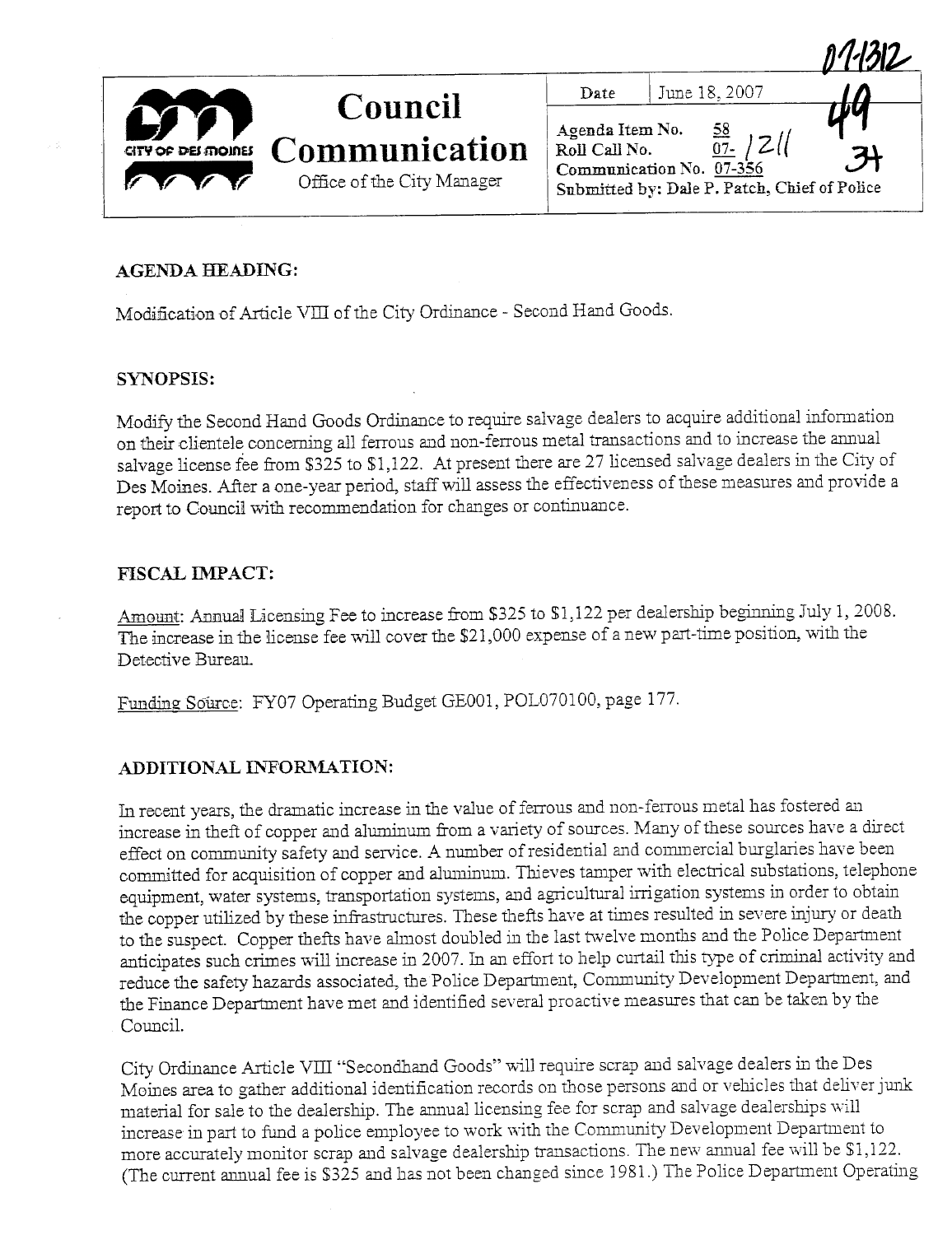|                    | <b>Council</b>                              | Date                             | June 18, 2007                                                                                   |    |
|--------------------|---------------------------------------------|----------------------------------|-------------------------------------------------------------------------------------------------|----|
| CITY OF DEI MOINES | Communication<br>Office of the City Manager | Agenda Item No.<br>Roll Call No. | <u>58</u><br>$07 -$<br>Communication No. 07-356<br>Submitted by: Dale P. Patch, Chief of Police | 71 |

#### **AGENDA HEADING:**

Modification of Article VIII of the City Ordinance - Second Hand Goods.

#### **SYNOPSIS:**

Modify the Second Hand Goods Ordinance to require salvage dealers to acquire additional information on their clientele concerning all ferrous and non-ferrous metal transactions and to increase the annual salvage license fee from \$325 to \$1,122. At present there are 27 licensed salvage dealers in the City of Des Moines. After a one-year period, staff will assess the effectiveness of these measures and provide a report to Council with recommendation for changes or continuance.

## **FISCAL IMPACT:**

Amount: Annual Licensing Fee to increase from \$325 to \$1,122 per dealership beginning July 1, 2008. The increase in the license fee will cover the \$21,000 expense of a new part-time position, with the Detective Bureau.

Funding Source: FY07 Operating Budget GE001, POL070100, page 177.

## ADDITIONAL INFORMATION:

In recent years, the dramatic increase in the value of ferrous and non-ferrous metal has fostered an increase in theft of copper and aluminum from a variety of sources. Many of these sources have a direct effect on community safety and service. A number of residential and commercial burglaries have been committed for acquisition of copper and aluminum. Thieves tamper with electrical substations, telephone equipment, water systems, transportation systems, and agricultural irrigation systems in order to obtain the copper utilized by these infrastructures. These thefts have at times resulted in severe injury or death to the suspect. Copper thefts have almost doubled in the last twelve months and the Police Department anticipates such crimes will increase in 2007. In an effort to help curtail this type of criminal activity and reduce the safety hazards associated, the Police Department, Community Development Department, and the Finance Department have met and identified several proactive measures that can be taken by the Council.

City Ordinance Article VIII "Secondhand Goods" will require scrap and salvage dealers in the Des Moines area to gather additional identification records on those persons and or vehicles that deliver junk material for sale to the dealership. The annual licensing fee for scrap and salvage dealerships will increase in part to fund a police employee to work with the Community Development Department to more accurately monitor scrap and salvage dealership transactions. The new annual fee will be \$1,122. (The current annual fee is \$325 and has not been changed since 1981.) The Police Department Operating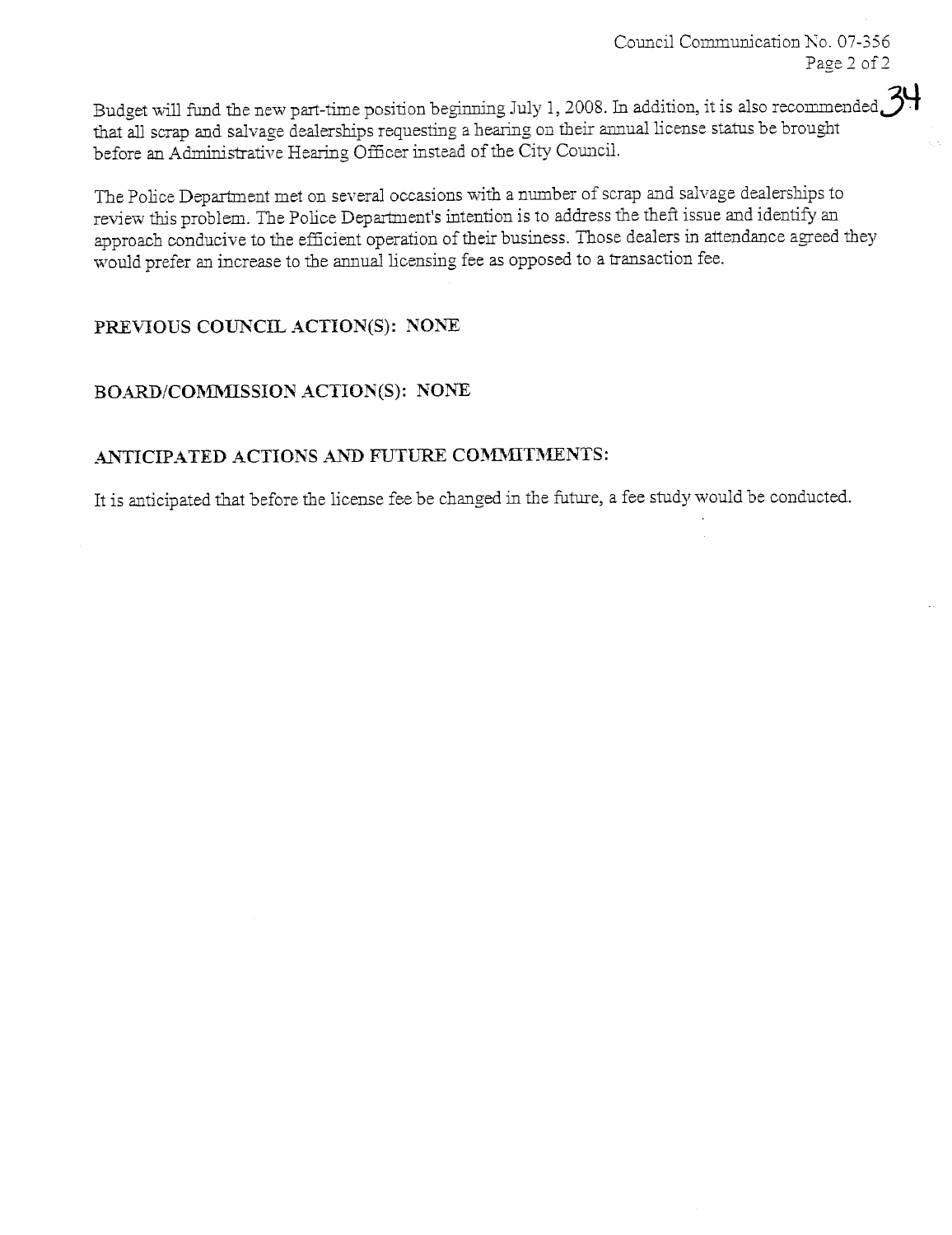Budget will fund the new part-time position beginning July 1, 2008. In addition, it is also recommended  $34$ that all scrap and salvage dealerships requesting a hearing on their annual license status be brought before an Administrative Hearing Officer instead of the City Council.

The Police Department met on several occasions with a number of scrap and salvage dealerships to review this problem. The Police Department's intention is to address the theft issue and identify an approach conducive to the effcient operation of would prefer an increase to the anual licensing fee as opposed to a tranaction fee. approach conducive to the efficient operation of their business. Those dealers in attendance agreed they

# PREVIOUS COUNCIL ACTION(S): NONE

# BOARD/COMMISSION ACTION(S): NONE

## ANTICIPATED ACTIONS AND FUTURE COMMITMENTS:

It is anticipated that before the license fee be changed in the futue, a fee study would be conducted.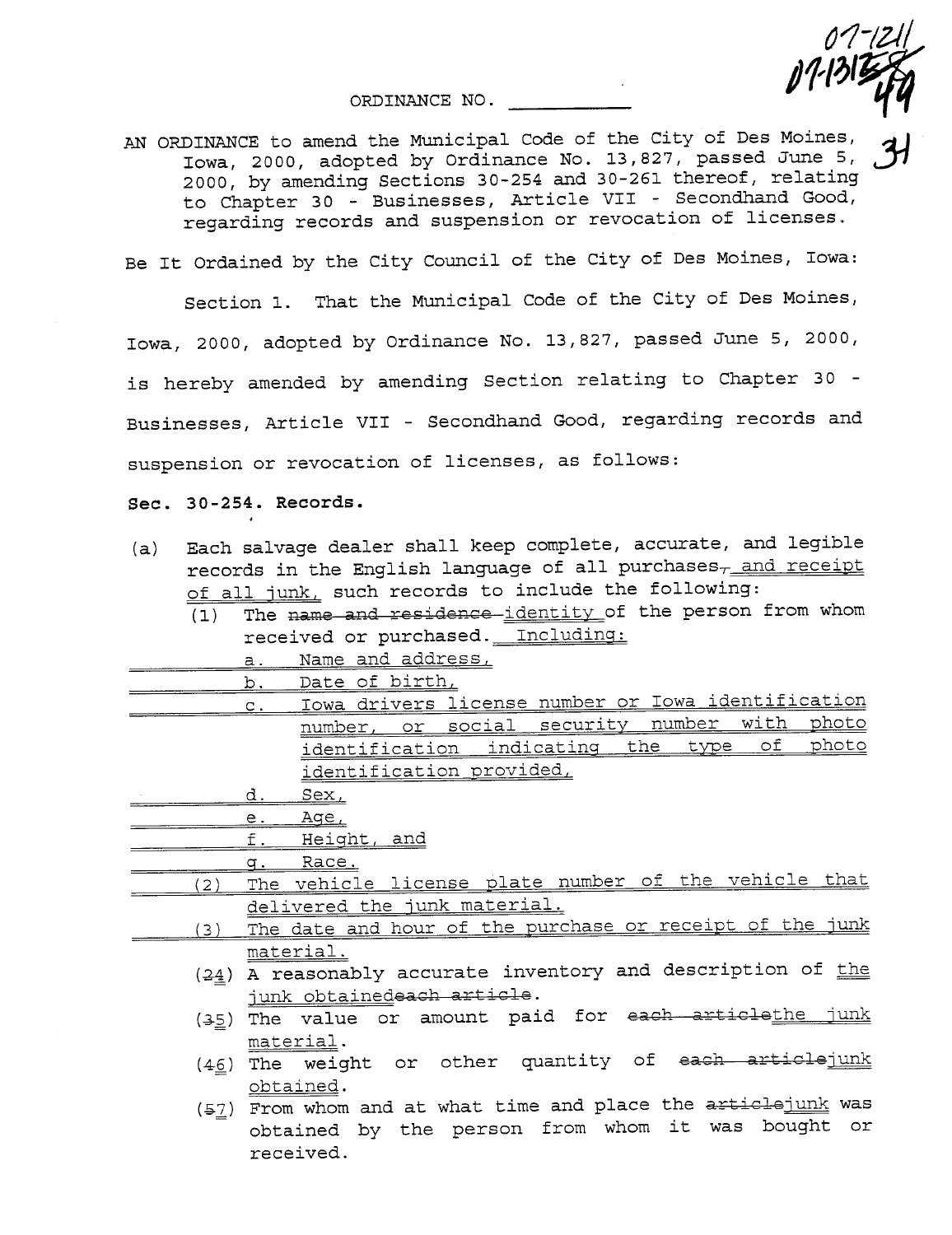ORDINANCE NO.

AN ORDINANCE to amend the Municipal Code of the City of Des Moines,<br>Iowa, 2000, adopted by Ordinance No. 13,827, passed June 5, 2000, by amending Sections 30-254 and 30-261 thereof, relating to Chapter 30 - Businesses, Article VII - Secondhand Good, regarding records and suspension or revocation of licenses.

 $07 - |21|$ 

 $J$ 1315  $f$ 

Be It Ordained by the City Council of the City of Des Moines, Iowa:

Section 1. That the Municipal Code of the City of Des Moines,

Iowa, 2000, adopted by Ordinance No. 13,827, passed June 5, 2000, is hereby amended by amending Section relating to Chapter 30 - Businesses, Article VII - Secondhand Good, regarding records and suspension or revocation of licenses, as follows:

Sec. 30 -254. Records.

- (a) Each salvage dealer shall keep complete, accurate, and legible records in the English language of all purchases $\tau$  and receipt of all junk, such records to include the following:
	- $\overline{(1)}$  The name and residence-identity of the person from whom received or purchased. Including:
		- a. Name and address,
	- b. Date of birth,
- c. Iowa drivers license number or Iowa identification<br>number, or social security number with photo number, or social security number with photo identification indicating the type identification provided,
	- d. Sex,

e. Age,

f. Heiqht, and

q. Race.

- (2) The vehicle license plate number of the vehicle that delivered the junk material.
	- (3) The date and hour of the purchase or receipt of the junk material.
		- $(24)$  A reasonably accurate inventory and description of the junk obtainedeach article.
		- $(35)$  The value or amount paid for each articlethe junk material.
		- $(4\underline{6})$  The weight or other quantity of each articlejunk obtained.
		- $(57)$  From whom and at what time and place the  $\frac{71}{100}$  extracts was obtained by the person from whom it was bought or received.